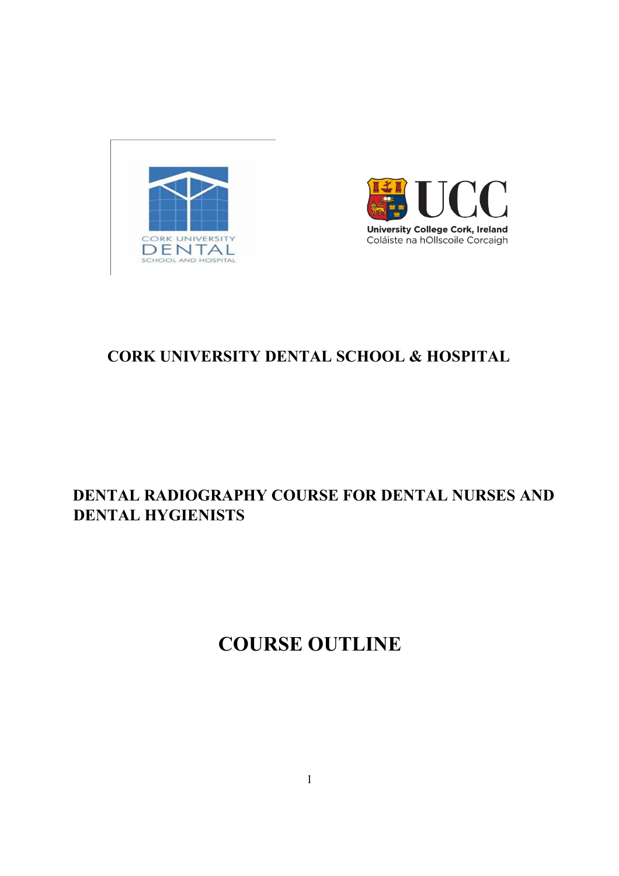



# **CORK UNIVERSITY DENTAL SCHOOL & HOSPITAL**

# **DENTAL RADIOGRAPHY COURSE FOR DENTAL NURSES AND DENTAL HYGIENISTS**

# **COURSE OUTLINE**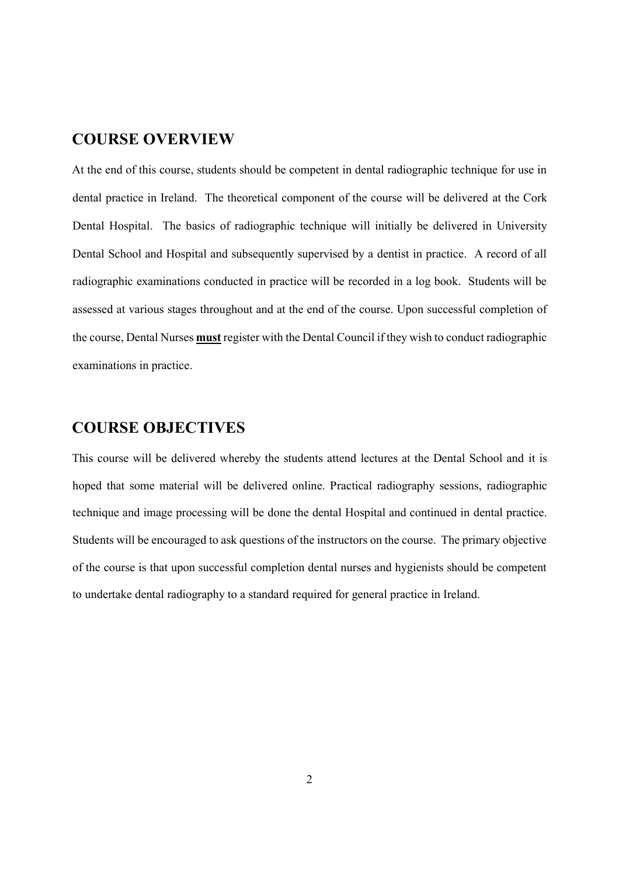#### **COURSE OVERVIEW**

At the end of this course, students should be competent in dental radiographic technique for use in dental practice in Ireland. The theoretical component of the course will be delivered at the Cork Dental Hospital. The basics of radiographic technique will initially be delivered in University Dental School and Hospital and subsequently supervised by a dentist in practice. A record of all radiographic examinations conducted in practice will be recorded in a log book. Students will be assessed at various stages throughout and at the end of the course. Upon successful completion of the course, Dental Nurses **must** register with the Dental Council if they wish to conduct radiographic examinations in practice.

### **COURSE OBJECTIVES**

This course will be delivered whereby the students attend lectures at the Dental School and it is hoped that some material will be delivered online. Practical radiography sessions, radiographic technique and image processing will be done the dental Hospital and continued in dental practice. Students will be encouraged to ask questions of the instructors on the course. The primary objective of the course is that upon successful completion dental nurses and hygienists should be competent to undertake dental radiography to a standard required for general practice in Ireland.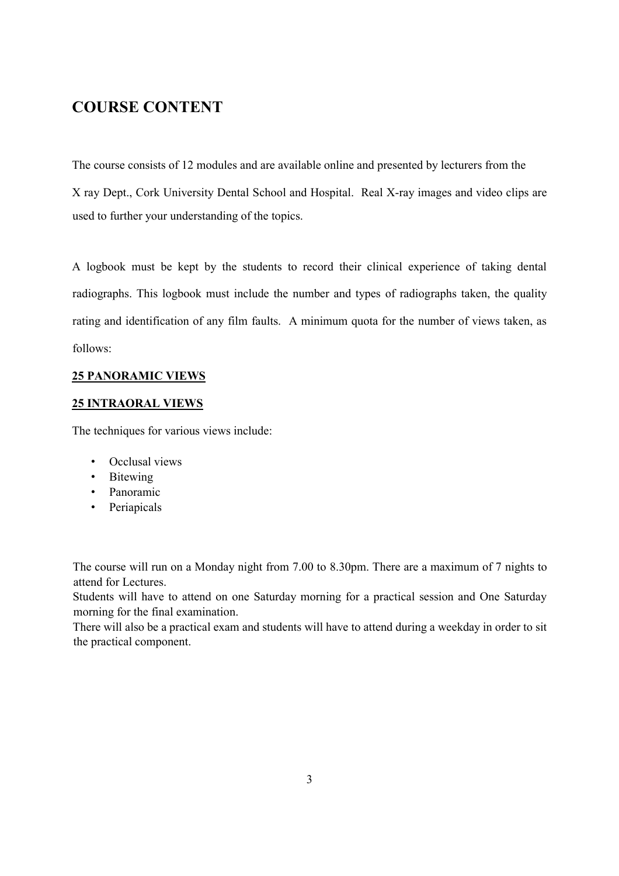### **COURSE CONTENT**

The course consists of 12 modules and are available online and presented by lecturers from the X ray Dept., Cork University Dental School and Hospital. Real X-ray images and video clips are used to further your understanding of the topics.

A logbook must be kept by the students to record their clinical experience of taking dental radiographs. This logbook must include the number and types of radiographs taken, the quality rating and identification of any film faults. A minimum quota for the number of views taken, as follows:

#### **25 PANORAMIC VIEWS**

#### **25 INTRAORAL VIEWS**

The techniques for various views include:

- Occlusal views
- Bitewing
- Panoramic
- Periapicals

The course will run on a Monday night from 7.00 to 8.30pm. There are a maximum of 7 nights to attend for Lectures.

Students will have to attend on one Saturday morning for a practical session and One Saturday morning for the final examination.

There will also be a practical exam and students will have to attend during a weekday in order to sit the practical component.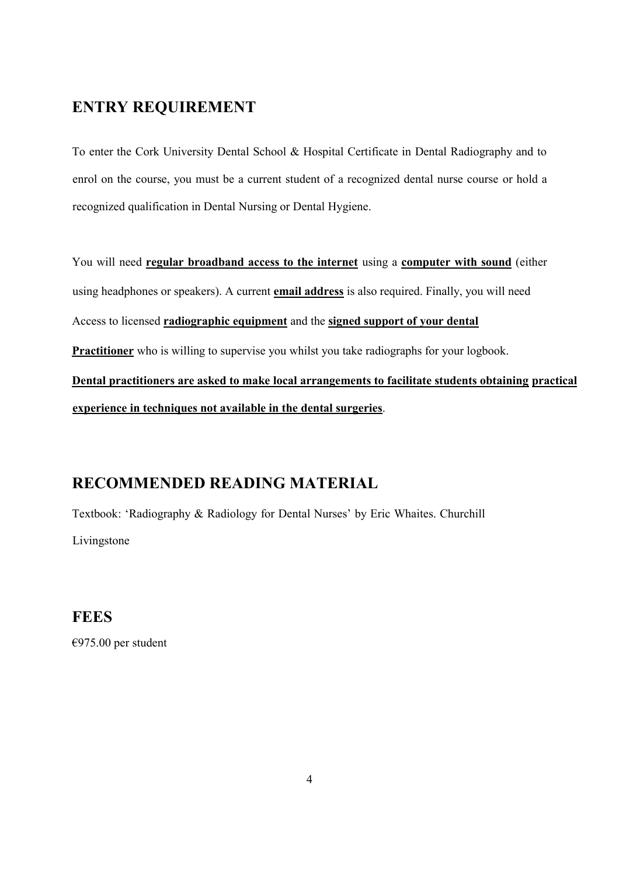## **ENTRY REQUIREMENT**

To enter the Cork University Dental School & Hospital Certificate in Dental Radiography and to enrol on the course, you must be a current student of a recognized dental nurse course or hold a recognized qualification in Dental Nursing or Dental Hygiene.

You will need **regular broadband access to the internet** using a **computer with sound** (either using headphones or speakers). A current **email address** is also required. Finally, you will need Access to licensed **radiographic equipment** and the **signed support of your dental Practitioner** who is willing to supervise you whilst you take radiographs for your logbook. **Dental practitioners are asked to make local arrangements to facilitate students obtaining practical experience in techniques not available in the dental surgeries**.

### **RECOMMENDED READING MATERIAL**

Textbook: 'Radiography & Radiology for Dental Nurses' by Eric Whaites. Churchill Livingstone

**FEES** 

€975.00 per student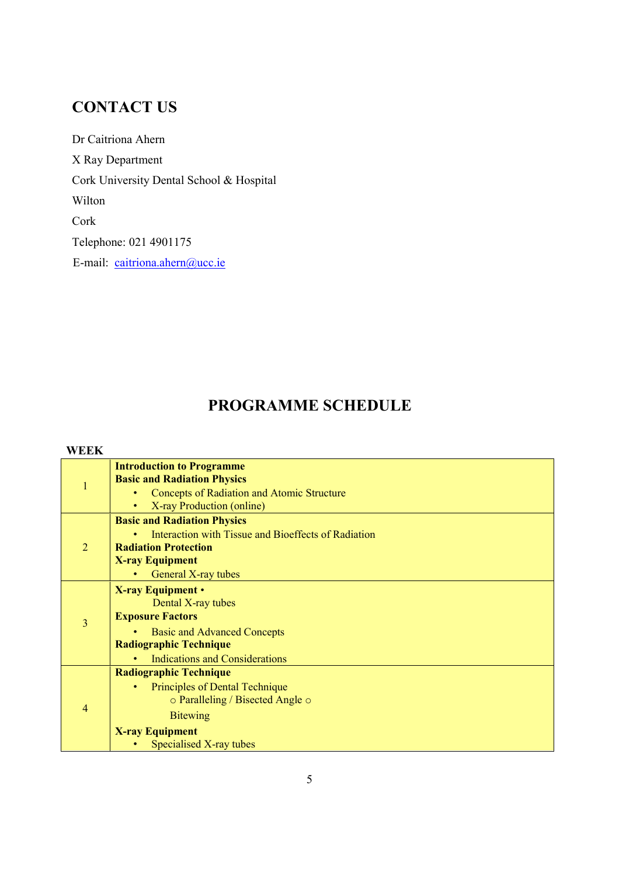# **CONTACT US**

Dr Caitriona Ahern X Ray Department Cork University Dental School & Hospital Wilton Cork Telephone: 021 4901175 E-mail: caitriona.ahern@ucc.ie

## **PROGRAMME SCHEDULE**

#### **WEEK**

|                | <b>Introduction to Programme</b>                    |
|----------------|-----------------------------------------------------|
| $\mathbf{1}$   | <b>Basic and Radiation Physics</b>                  |
|                | <b>Concepts of Radiation and Atomic Structure</b>   |
|                | X-ray Production (online)<br>$\bullet$              |
| $\overline{2}$ | <b>Basic and Radiation Physics</b>                  |
|                | Interaction with Tissue and Bioeffects of Radiation |
|                | <b>Radiation Protection</b>                         |
|                | <b>X-ray Equipment</b>                              |
|                | General X-ray tubes                                 |
| 3              | <b>X-ray Equipment</b> •                            |
|                | Dental X-ray tubes                                  |
|                | <b>Exposure Factors</b>                             |
|                | <b>Basic and Advanced Concepts</b>                  |
|                | <b>Radiographic Technique</b>                       |
|                | <b>Indications and Considerations</b>               |
| 4              | <b>Radiographic Technique</b>                       |
|                | Principles of Dental Technique                      |
|                | o Paralleling / Bisected Angle o                    |
|                | <b>Bitewing</b>                                     |
|                | <b>X-ray Equipment</b>                              |
|                | Specialised X-ray tubes                             |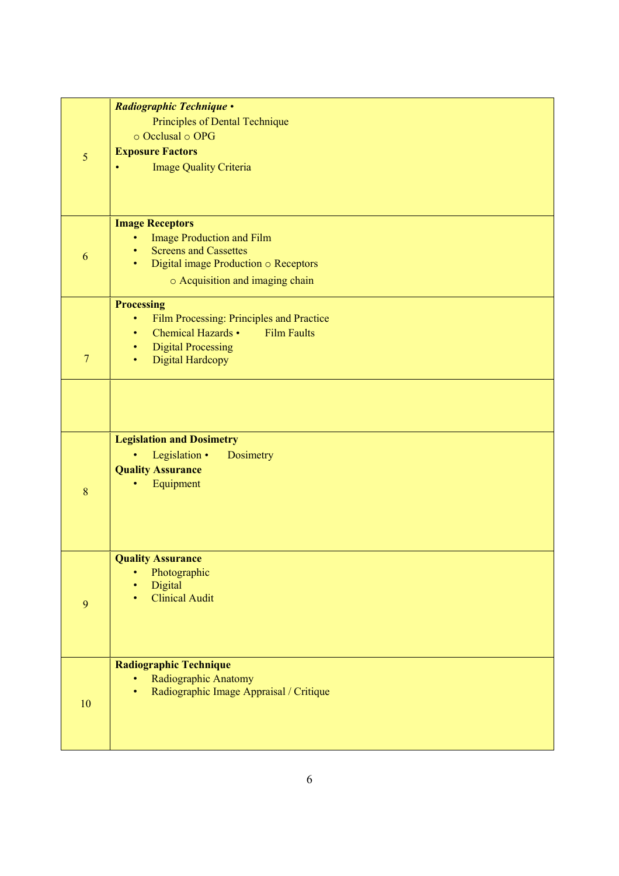|                | Radiographic Technique .                                     |  |  |
|----------------|--------------------------------------------------------------|--|--|
|                | Principles of Dental Technique                               |  |  |
|                | $\circ$ Occlusal $\circ$ OPG                                 |  |  |
| 5              | <b>Exposure Factors</b>                                      |  |  |
|                | <b>Image Quality Criteria</b><br>۰                           |  |  |
|                |                                                              |  |  |
|                |                                                              |  |  |
|                | <b>Image Receptors</b>                                       |  |  |
|                | <b>Image Production and Film</b>                             |  |  |
| 6              | <b>Screens and Cassettes</b><br>٠                            |  |  |
|                | Digital image Production $\circ$ Receptors<br>$\bullet$      |  |  |
|                | o Acquisition and imaging chain                              |  |  |
|                | <b>Processing</b>                                            |  |  |
|                | Film Processing: Principles and Practice<br>٠                |  |  |
|                | <b>Chemical Hazards •</b><br><b>Film Faults</b><br>$\bullet$ |  |  |
|                | <b>Digital Processing</b><br>٠                               |  |  |
| $\overline{7}$ | <b>Digital Hardcopy</b><br>$\bullet$                         |  |  |
|                |                                                              |  |  |
|                |                                                              |  |  |
|                |                                                              |  |  |
|                | <b>Legislation and Dosimetry</b>                             |  |  |
|                | Legislation •<br>Dosimetry<br>٠                              |  |  |
|                | <b>Quality Assurance</b>                                     |  |  |
| 8              | Equipment                                                    |  |  |
|                |                                                              |  |  |
|                |                                                              |  |  |
|                |                                                              |  |  |
|                | <b>Quality Assurance</b>                                     |  |  |
|                | Photographic                                                 |  |  |
|                | Digital                                                      |  |  |
| 9              | <b>Clinical Audit</b>                                        |  |  |
|                |                                                              |  |  |
|                |                                                              |  |  |
|                | <b>Radiographic Technique</b>                                |  |  |
|                | Radiographic Anatomy                                         |  |  |
|                | Radiographic Image Appraisal / Critique                      |  |  |
| 10             |                                                              |  |  |
|                |                                                              |  |  |
|                |                                                              |  |  |
|                |                                                              |  |  |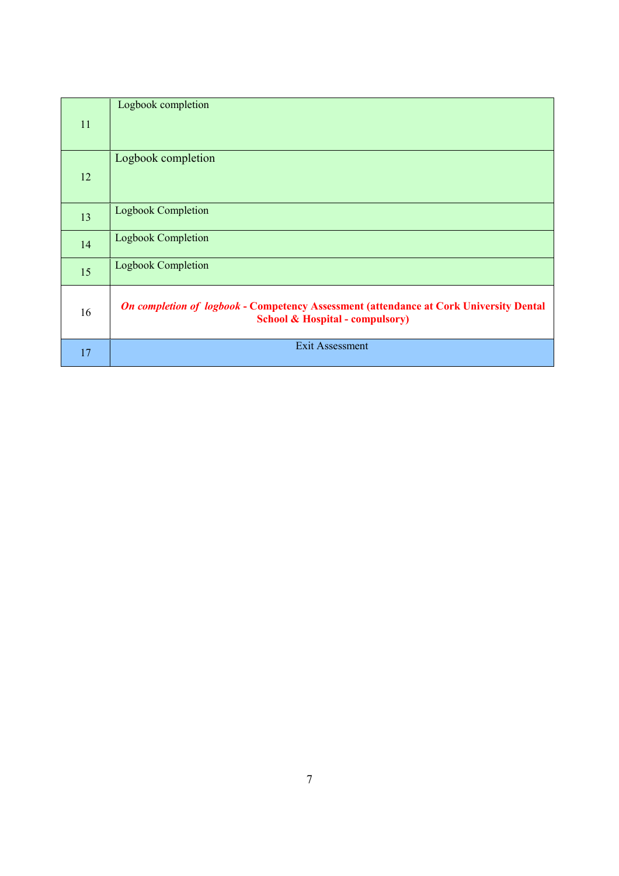| 11 | Logbook completion                                                                                                                          |
|----|---------------------------------------------------------------------------------------------------------------------------------------------|
| 12 | Logbook completion                                                                                                                          |
| 13 | <b>Logbook Completion</b>                                                                                                                   |
| 14 | <b>Logbook Completion</b>                                                                                                                   |
| 15 | Logbook Completion                                                                                                                          |
| 16 | <b>On completion of logbook - Competency Assessment (attendance at Cork University Dental</b><br><b>School &amp; Hospital - compulsory)</b> |
| 17 | Exit Assessment                                                                                                                             |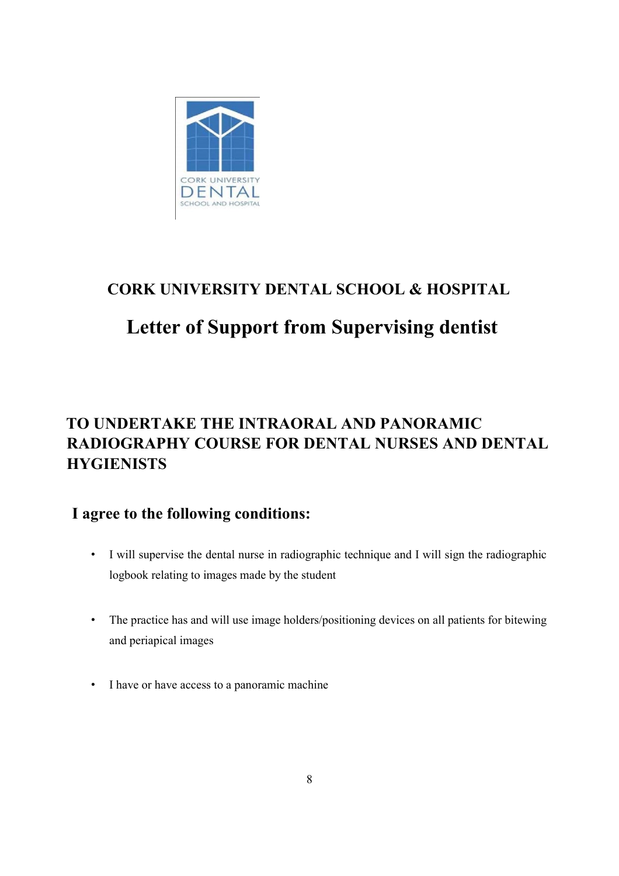

# **CORK UNIVERSITY DENTAL SCHOOL & HOSPITAL**

# **Letter of Support from Supervising dentist**

# **TO UNDERTAKE THE INTRAORAL AND PANORAMIC RADIOGRAPHY COURSE FOR DENTAL NURSES AND DENTAL HYGIENISTS**

## **I agree to the following conditions:**

- I will supervise the dental nurse in radiographic technique and I will sign the radiographic logbook relating to images made by the student
- The practice has and will use image holders/positioning devices on all patients for bitewing and periapical images
- I have or have access to a panoramic machine